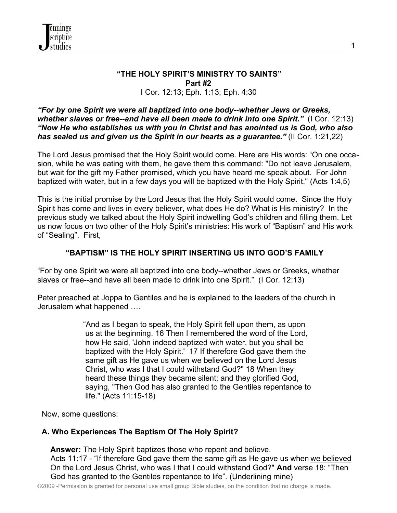

### **"THE HOLY SPIRIT'S MINISTRY TO SAINTS" Part #2** I Cor. 12:13; Eph. 1:13; Eph. 4:30

#### *"For by one Spirit we were all baptized into one body--whether Jews or Greeks, whether slaves or free--and have all been made to drink into one Spirit."* (I Cor. 12:13) *"Now He who establishes us with you in Christ and has anointed us is God, who also has sealed us and given us the Spirit in our hearts as a guarantee."* (II Cor. 1:21,22)

The Lord Jesus promised that the Holy Spirit would come. Here are His words: "On one occasion, while he was eating with them, he gave them this command: "Do not leave Jerusalem, but wait for the gift my Father promised, which you have heard me speak about. For John baptized with water, but in a few days you will be baptized with the Holy Spirit." (Acts 1:4,5)

This is the initial promise by the Lord Jesus that the Holy Spirit would come. Since the Holy Spirit has come and lives in every believer, what does He do? What is His ministry? In the previous study we talked about the Holy Spirit indwelling God's children and filling them. Let us now focus on two other of the Holy Spirit's ministries: His work of "Baptism" and His work of "Sealing". First,

## **"BAPTISM" IS THE HOLY SPIRIT INSERTING US INTO GOD'S FAMILY**

"For by one Spirit we were all baptized into one body--whether Jews or Greeks, whether slaves or free--and have all been made to drink into one Spirit." (I Cor. 12:13)

Peter preached at Joppa to Gentiles and he is explained to the leaders of the church in Jerusalem what happened ….

> "And as I began to speak, the Holy Spirit fell upon them, as upon us at the beginning. 16 Then I remembered the word of the Lord, how He said, 'John indeed baptized with water, but you shall be baptized with the Holy Spirit.' 17 If therefore God gave them the same gift as He gave us when we believed on the Lord Jesus Christ, who was I that I could withstand God?" 18 When they heard these things they became silent; and they glorified God, saying, "Then God has also granted to the Gentiles repentance to life." (Acts 11:15-18)

Now, some questions:

## **A. Who Experiences The Baptism Of The Holy Spirit?**

 **Answer:** The Holy Spirit baptizes those who repent and believe. Acts 11:17 - "If therefore God gave them the same gift as He gave us when we believed On the Lord Jesus Christ, who was I that I could withstand God?" **And** verse 18: "Then God has granted to the Gentiles repentance to life". (Underlining mine)

©2009 -Permission is granted for personal use small group Bible studies, on the condition that no charge is made.

1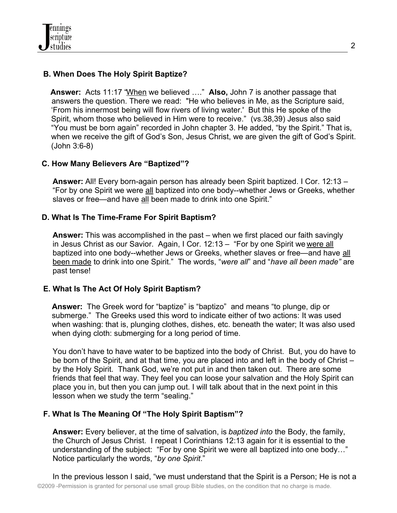# **B. When Does The Holy Spirit Baptize?**

 **Answer:** Acts 11:17 "When we believed …." **Also,** John 7 is another passage that answers the question. There we read: "He who believes in Me, as the Scripture said, 'From his innermost being will flow rivers of living water.' But this He spoke of the Spirit, whom those who believed in Him were to receive." (vs.38,39) Jesus also said "You must be born again" recorded in John chapter 3. He added, "by the Spirit." That is, when we receive the gift of God's Son, Jesus Christ, we are given the gift of God's Spirit. (John 3:6-8)

## **C. How Many Believers Are "Baptized"?**

 **Answer:** All! Every born-again person has already been Spirit baptized. I Cor. 12:13 – "For by one Spirit we were all baptized into one body--whether Jews or Greeks, whether slaves or free—and have all been made to drink into one Spirit."

## **D. What Is The Time-Frame For Spirit Baptism?**

 **Answer:** This was accomplished in the past – when we first placed our faith savingly in Jesus Christ as our Savior. Again, I Cor. 12:13 – "For by one Spirit we were all baptized into one body--whether Jews or Greeks, whether slaves or free—and have all been made to drink into one Spirit." The words, "*were all*" and "*have all been made"* are past tense!

### **E. What Is The Act Of Holy Spirit Baptism?**

 **Answer:** The Greek word for "baptize" is "baptizo" and means "to plunge, dip or submerge." The Greeks used this word to indicate either of two actions: It was used when washing: that is, plunging clothes, dishes, etc. beneath the water; It was also used when dying cloth: submerging for a long period of time.

 You don't have to have water to be baptized into the body of Christ. But, you do have to be born of the Spirit, and at that time, you are placed into and left in the body of Christ – by the Holy Spirit. Thank God, we're not put in and then taken out. There are some friends that feel that way. They feel you can loose your salvation and the Holy Spirit can place you in, but then you can jump out. I will talk about that in the next point in this lesson when we study the term "sealing."

## **F. What Is The Meaning Of "The Holy Spirit Baptism"?**

 **Answer:** Every believer, at the time of salvation, is *baptized into* the Body, the family, the Church of Jesus Christ. I repeat I Corinthians 12:13 again for it is essential to the understanding of the subject: "For by one Spirit we were all baptized into one body…" Notice particularly the words, "*by one Spirit*."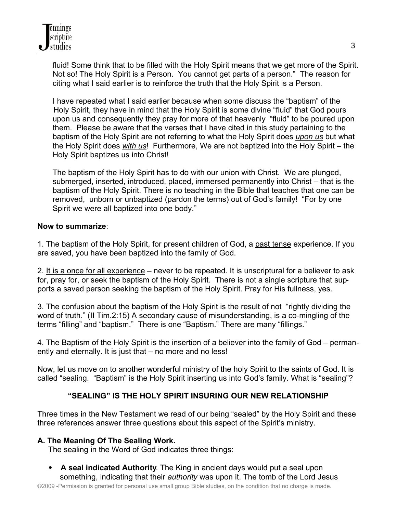fluid! Some think that to be filled with the Holy Spirit means that we get more of the Spirit. Not so! The Holy Spirit is a Person. You cannot get parts of a person." The reason for citing what I said earlier is to reinforce the truth that the Holy Spirit is a Person.

 I have repeated what I said earlier because when some discuss the "baptism" of the Holy Spirit, they have in mind that the Holy Spirit is some divine "fluid" that God pours upon us and consequently they pray for more of that heavenly "fluid" to be poured upon them. Please be aware that the verses that I have cited in this study pertaining to the baptism of the Holy Spirit are not referring to what the Holy Spirit does *upon us* but what the Holy Spirit does *with us*! Furthermore, We are not baptized into the Holy Spirit – the Holy Spirit baptizes us into Christ!

 The baptism of the Holy Spirit has to do with our union with Christ. We are plunged, submerged, inserted, introduced, placed, immersed permanently into Christ – that is the baptism of the Holy Spirit. There is no teaching in the Bible that teaches that one can be removed, unborn or unbaptized (pardon the terms) out of God's family! "For by one Spirit we were all baptized into one body."

## **Now to summarize**:

1. The baptism of the Holy Spirit, for present children of God, a past tense experience. If you are saved, you have been baptized into the family of God.

2. It is a once for all experience – never to be repeated. It is unscriptural for a believer to ask for, pray for, or seek the baptism of the Holy Spirit. There is not a single scripture that supports a saved person seeking the baptism of the Holy Spirit. Pray for His fullness, yes.

3. The confusion about the baptism of the Holy Spirit is the result of not "rightly dividing the word of truth." (II Tim.2:15) A secondary cause of misunderstanding, is a co-mingling of the terms "filling" and "baptism." There is one "Baptism." There are many "fillings."

4. The Baptism of the Holy Spirit is the insertion of a believer into the family of God – permanently and eternally. It is just that – no more and no less!

Now, let us move on to another wonderful ministry of the holy Spirit to the saints of God. It is called "sealing. "Baptism" is the Holy Spirit inserting us into God's family. What is "sealing"?

## **"SEALING" IS THE HOLY SPIRIT INSURING OUR NEW RELATIONSHIP**

Three times in the New Testament we read of our being "sealed" by the Holy Spirit and these three references answer three questions about this aspect of the Spirit's ministry.

### **A. The Meaning Of The Sealing Work.**

The sealing in the Word of God indicates three things:

 **A seal indicated Authority**. The King in ancient days would put a seal upon something, indicating that their *authority* was upon it. The tomb of the Lord Jesus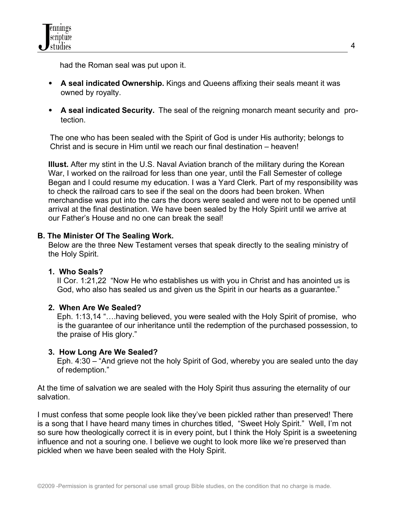had the Roman seal was put upon it.

- **A seal indicated Ownership.** Kings and Queens affixing their seals meant it was owned by royalty.
- **A seal indicated Security.** The seal of the reigning monarch meant security and protection.

The one who has been sealed with the Spirit of God is under His authority; belongs to Christ and is secure in Him until we reach our final destination – heaven!

 **Illust.** After my stint in the U.S. Naval Aviation branch of the military during the Korean War, I worked on the railroad for less than one year, until the Fall Semester of college Began and I could resume my education. I was a Yard Clerk. Part of my responsibility was to check the railroad cars to see if the seal on the doors had been broken. When merchandise was put into the cars the doors were sealed and were not to be opened until arrival at the final destination. We have been sealed by the Holy Spirit until we arrive at our Father's House and no one can break the seal!

## **B. The Minister Of The Sealing Work.**

 Below are the three New Testament verses that speak directly to the sealing ministry of the Holy Spirit.

### **1. Who Seals?**

 II Cor. 1:21,22 "Now He who establishes us with you in Christ and has anointed us is God, who also has sealed us and given us the Spirit in our hearts as a guarantee."

### **2. When Are We Sealed?**

 Eph. 1:13,14 "….having believed, you were sealed with the Holy Spirit of promise, who is the guarantee of our inheritance until the redemption of the purchased possession, to the praise of His glory."

### **3. How Long Are We Sealed?**

 Eph. 4:30 – "And grieve not the holy Spirit of God, whereby you are sealed unto the day of redemption."

At the time of salvation we are sealed with the Holy Spirit thus assuring the eternality of our salvation.

I must confess that some people look like they've been pickled rather than preserved! There is a song that I have heard many times in churches titled, "Sweet Holy Spirit." Well, I'm not so sure how theologically correct it is in every point, but I think the Holy Spirit is a sweetening influence and not a souring one. I believe we ought to look more like we're preserved than pickled when we have been sealed with the Holy Spirit.